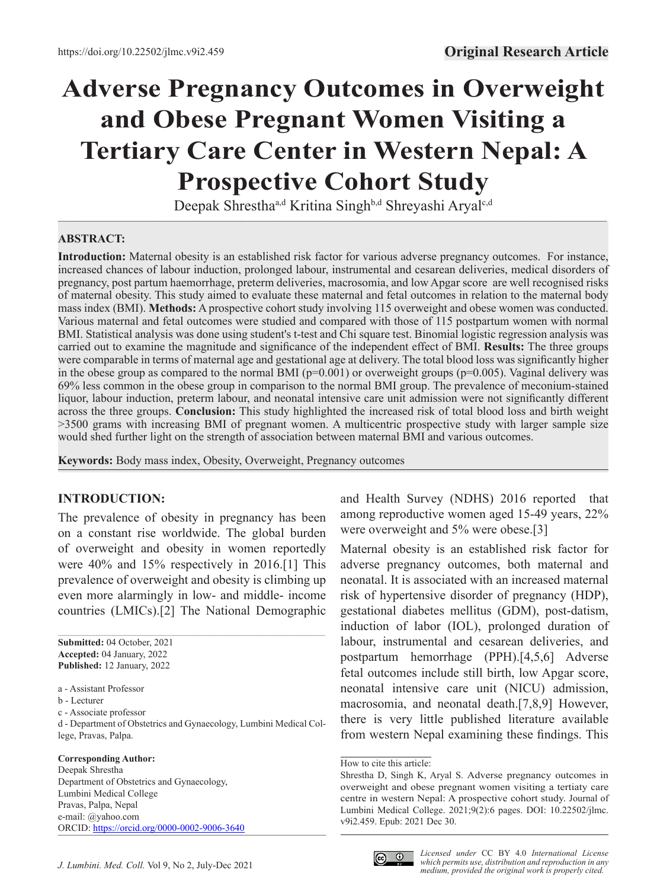# **Adverse Pregnancy Outcomes in Overweight and Obese Pregnant Women Visiting a Tertiary Care Center in Western Nepal: A Prospective Cohort Study**

 $\overline{\phantom{a}}$  , and the contract of the contract of the contract of the contract of the contract of the contract of the contract of the contract of the contract of the contract of the contract of the contract of the contrac Deepak Shrestha<sup>a,d</sup> Kritina Singh<sup>b,d</sup> Shreyashi Aryal<sup>c,d</sup>

#### **ABSTRACT:**

**Introduction:** Maternal obesity is an established risk factor for various adverse pregnancy outcomes. For instance, increased chances of labour induction, prolonged labour, instrumental and cesarean deliveries, medical disorders of pregnancy, post partum haemorrhage, preterm deliveries, macrosomia, and low Apgar score are well recognised risks of maternal obesity. This study aimed to evaluate these maternal and fetal outcomes in relation to the maternal body mass index (BMI). **Methods:** A prospective cohort study involving 115 overweight and obese women was conducted. Various maternal and fetal outcomes were studied and compared with those of 115 postpartum women with normal BMI. Statistical analysis was done using student's t-test and Chi square test. Binomial logistic regression analysis was carried out to examine the magnitude and significance of the independent effect of BMI. **Results:** The three groups were comparable in terms of maternal age and gestational age at delivery. The total blood loss was significantly higher in the obese group as compared to the normal BMI ( $p=0.001$ ) or overweight groups ( $p=0.005$ ). Vaginal delivery was 69% less common in the obese group in comparison to the normal BMI group. The prevalence of meconium-stained liquor, labour induction, preterm labour, and neonatal intensive care unit admission were not significantly different across the three groups. **Conclusion:** This study highlighted the increased risk of total blood loss and birth weight >3500 grams with increasing BMI of pregnant women. A multicentric prospective study with larger sample size would shed further light on the strength of association between maternal BMI and various outcomes.

**Keywords:** Body mass index, Obesity, Overweight, Pregnancy outcomes

## **INTRODUCTION:**

The prevalence of obesity in pregnancy has been on a constant rise worldwide. The global burden of overweight and obesity in women reportedly were 40% and 15% respectively in 2016.[1] This prevalence of overweight and obesity is climbing up even more alarmingly in low- and middle- income countries (LMICs).[2] The National Demographic

**Submitted:** 04 October, 2021 **Accepted:** 04 January, 2022 **Published:** 12 January, 2022

c - Associate professor

d - Department of Obstetrics and Gynaecology, Lumbini Medical College, Pravas, Palpa.

#### **Corresponding Author:**

Deepak Shrestha Department of Obstetrics and Gynaecology, Lumbini Medical College Pravas, Palpa, Nepal e-mail: @yahoo.com ORCID: [https://orcid.org/0](https://orcid.org/0000-0002-9006-3640)000-0002-9006-3640 and Health Survey (NDHS) 2016 reported that among reproductive women aged 15-49 years, 22% were overweight and 5% were obese.[3]

Maternal obesity is an established risk factor for adverse pregnancy outcomes, both maternal and neonatal. It is associated with an increased maternal risk of hypertensive disorder of pregnancy (HDP), gestational diabetes mellitus (GDM), post-datism, induction of labor (IOL), prolonged duration of labour, instrumental and cesarean deliveries, and postpartum hemorrhage (PPH).[4,5,6] Adverse fetal outcomes include still birth, low Apgar score, neonatal intensive care unit (NICU) admission, macrosomia, and neonatal death.[7,8,9] However, there is very little published literature available from western Nepal examining these findings. This



a - Assistant Professor

b - Lecturer

How to cite this article:

Shrestha D, Singh K, Aryal S. Adverse pregnancy outcomes in overweight and obese pregnant women visiting a tertiaty care centre in western Nepal: A prospective cohort study. Journal of Lumbini Medical College. 2021;9(2):6 pages. DOI: 10.22502/jlmc. v9i2.459. Epub: 2021 Dec 30.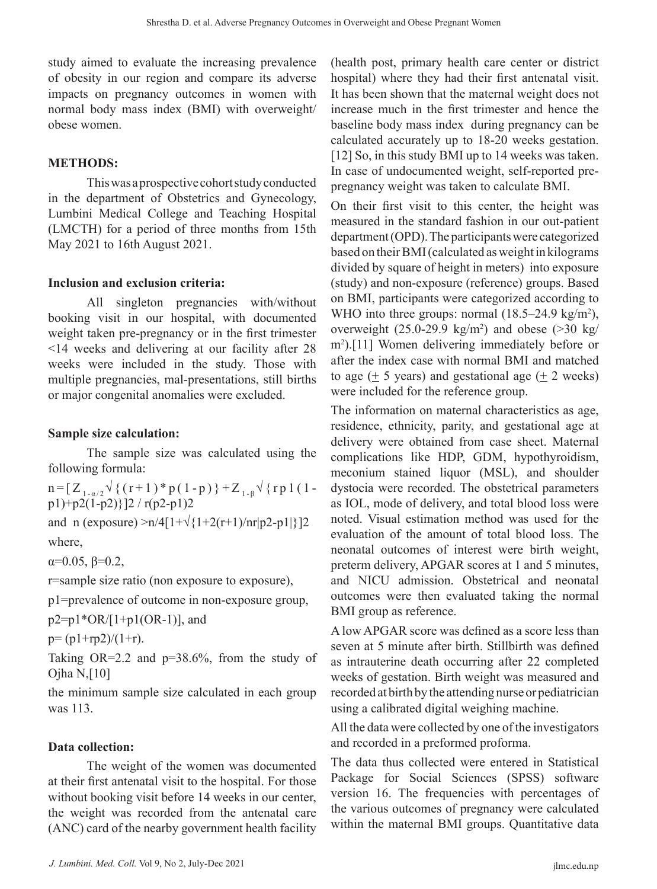study aimed to evaluate the increasing prevalence of obesity in our region and compare its adverse impacts on pregnancy outcomes in women with normal body mass index (BMI) with overweight/ obese women.

#### **METHODS:**

This was a prospective cohort study conducted in the department of Obstetrics and Gynecology, Lumbini Medical College and Teaching Hospital (LMCTH) for a period of three months from 15th May 2021 to 16th August 2021.

#### **Inclusion and exclusion criteria:**

All singleton pregnancies with/without booking visit in our hospital, with documented weight taken pre-pregnancy or in the first trimester <14 weeks and delivering at our facility after 28 weeks were included in the study. Those with multiple pregnancies, mal-presentations, still births or major congenital anomalies were excluded.

#### **Sample size calculation:**

The sample size was calculated using the following formula:

n = [ $Z_{1-a/2}$   $\sqrt{(r+1)*p(1-p)}$  +  $Z_{1-p}$   $\sqrt{(rp1(1-p))}$ p1)+p2(1-p2)}]2 / r(p2-p1)2

and n (exposure) >n/4[1+ $\sqrt{(1+2(r+1)/nr|p^2-p^2]}$ ]2 where,

α=0.05, β=0.2,

r=sample size ratio (non exposure to exposure),

p1=prevalence of outcome in non-exposure group,

 $p2=p1*OR/[1+p1(OR-1)]$ , and

 $p=(p1+rp2)/(1+r)$ .

Taking  $OR=2.2$  and  $p=38.6\%$ , from the study of Ojha N,[10]

the minimum sample size calculated in each group was 113.

#### **Data collection:**

The weight of the women was documented at their first antenatal visit to the hospital. For those without booking visit before 14 weeks in our center, the weight was recorded from the antenatal care (ANC) card of the nearby government health facility (health post, primary health care center or district hospital) where they had their first antenatal visit. It has been shown that the maternal weight does not increase much in the first trimester and hence the baseline body mass index during pregnancy can be calculated accurately up to 18-20 weeks gestation. [12] So, in this study BMI up to 14 weeks was taken. In case of undocumented weight, self-reported prepregnancy weight was taken to calculate BMI.

On their first visit to this center, the height was measured in the standard fashion in our out-patient department (OPD). The participants were categorized based on their BMI (calculated as weight in kilograms divided by square of height in meters) into exposure (study) and non-exposure (reference) groups. Based on BMI, participants were categorized according to WHO into three groups: normal  $(18.5-24.9 \text{ kg/m}^2)$ , overweight  $(25.0\n-29.9 \text{ kg/m}^2)$  and obese  $(>30 \text{ kg/m}^2)$ m2 ).[11] Women delivering immediately before or after the index case with normal BMI and matched to age  $(+ 5 \text{ years})$  and gestational age  $(+ 2 \text{ weeks})$ were included for the reference group.

The information on maternal characteristics as age, residence, ethnicity, parity, and gestational age at delivery were obtained from case sheet. Maternal complications like HDP, GDM, hypothyroidism, meconium stained liquor (MSL), and shoulder dystocia were recorded. The obstetrical parameters as IOL, mode of delivery, and total blood loss were noted. Visual estimation method was used for the evaluation of the amount of total blood loss. The neonatal outcomes of interest were birth weight, preterm delivery, APGAR scores at 1 and 5 minutes, and NICU admission. Obstetrical and neonatal outcomes were then evaluated taking the normal BMI group as reference.

A low APGAR score was defined as a score less than seven at 5 minute after birth. Stillbirth was defined as intrauterine death occurring after 22 completed weeks of gestation. Birth weight was measured and recorded at birth by the attending nurse or pediatrician using a calibrated digital weighing machine.

All the data were collected by one of the investigators and recorded in a preformed proforma.

The data thus collected were entered in Statistical Package for Social Sciences (SPSS) software version 16. The frequencies with percentages of the various outcomes of pregnancy were calculated within the maternal BMI groups. Quantitative data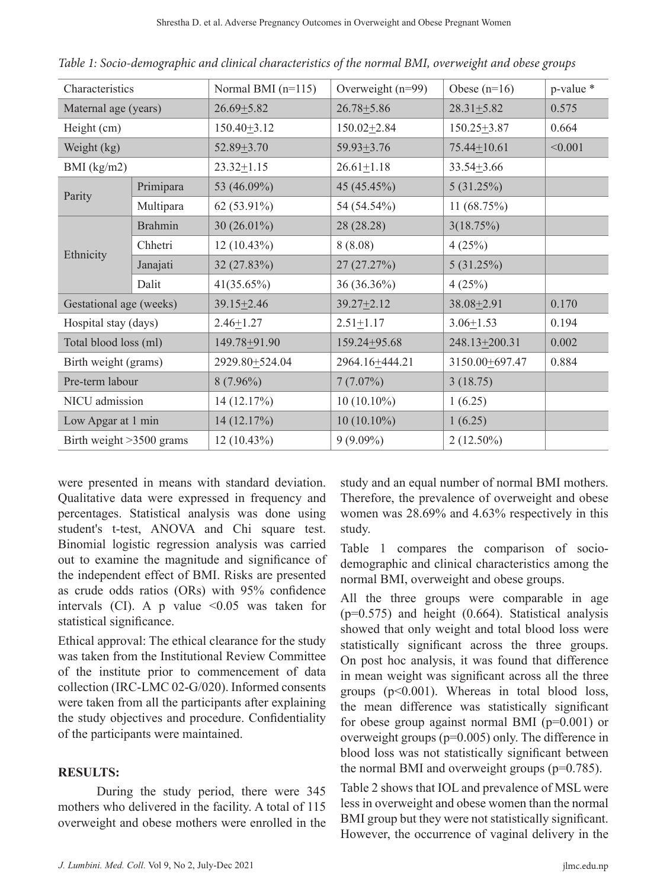| Characteristics            |                | Normal BMI $(n=115)$ | Overweight $(n=99)$ |                   | p-value * |
|----------------------------|----------------|----------------------|---------------------|-------------------|-----------|
| Maternal age (years)       |                | $26.69 \pm 5.82$     | $26.78 + 5.86$      | $28.31 \pm 5.82$  | 0.575     |
| Height (cm)                |                | $150.40 \pm 3.12$    | $150.02 \pm 2.84$   | $150.25 \pm 3.87$ | 0.664     |
| Weight (kg)                |                | $52.89 + 3.70$       | $59.93 \pm 3.76$    | $75.44 \pm 10.61$ | < 0.001   |
| BMI $(kg/m2)$              |                | $23.32 \pm 1.15$     | $26.61 \pm 1.18$    | $33.54 + 3.66$    |           |
| Parity                     | Primipara      | 53 (46.09%)          | 45 (45.45%)         | 5(31.25%)         |           |
|                            | Multipara      | 62 (53.91%)          | 54 (54.54%)         | 11 $(68.75%)$     |           |
| Ethnicity                  | <b>Brahmin</b> | 30 $(26.01\%)$       | 28 (28.28)          | 3(18.75%)         |           |
|                            | Chhetri        | $12(10.43\%)$        | 8(8.08)             | 4(25%)            |           |
|                            | Janajati       | 32 (27.83%)          | 27 (27.27%)         | 5(31.25%)         |           |
|                            | Dalit          | $41(35.65\%)$        | 36 (36.36%)         | 4(25%)            |           |
| Gestational age (weeks)    |                | $39.15 \pm 2.46$     | $39.27 \pm 2.12$    | 38.08 ± 2.91      | 0.170     |
| Hospital stay (days)       |                | $2.46 \pm 1.27$      | $2.51 \pm 1.17$     | $3.06 \pm 1.53$   | 0.194     |
| Total blood loss (ml)      |                | 149.78 + 91.90       | 159.24+95.68        | 248.13 + 200.31   | 0.002     |
| Birth weight (grams)       |                | 2929.80 + 524.04     | 2964.16+444.21      | 3150.00+697.47    | 0.884     |
| Pre-term labour            |                | $8(7.96\%)$          | $7(7.07\%)$         | 3(18.75)          |           |
| NICU admission             |                | 14(12.17%)           | $10(10.10\%)$       | 1(6.25)           |           |
| Low Apgar at 1 min         |                | 14 (12.17%)          | $10(10.10\%)$       | 1(6.25)           |           |
| Birth weight $>3500$ grams |                | $12(10.43\%)$        | $9(9.09\%)$         | $2(12.50\%)$      |           |

*Table 1: Socio-demographic and clinical characteristics of the normal BMI, overweight and obese groups*

were presented in means with standard deviation. Qualitative data were expressed in frequency and percentages. Statistical analysis was done using student's t-test, ANOVA and Chi square test. Binomial logistic regression analysis was carried out to examine the magnitude and significance of the independent effect of BMI. Risks are presented as crude odds ratios (ORs) with 95% confidence intervals (CI). A p value  $\leq 0.05$  was taken for statistical significance.

Ethical approval: The ethical clearance for the study was taken from the Institutional Review Committee of the institute prior to commencement of data collection (IRC-LMC 02-G/020). Informed consents were taken from all the participants after explaining the study objectives and procedure. Confidentiality of the participants were maintained.

#### **RESULTS:**

During the study period, there were 345 mothers who delivered in the facility. A total of 115 overweight and obese mothers were enrolled in the study and an equal number of normal BMI mothers. Therefore, the prevalence of overweight and obese women was 28.69% and 4.63% respectively in this study.

Table 1 compares the comparison of sociodemographic and clinical characteristics among the normal BMI, overweight and obese groups.

All the three groups were comparable in age  $(p=0.575)$  and height  $(0.664)$ . Statistical analysis showed that only weight and total blood loss were statistically significant across the three groups. On post hoc analysis, it was found that difference in mean weight was significant across all the three groups  $(p<0.001)$ . Whereas in total blood loss, the mean difference was statistically significant for obese group against normal BMI (p=0.001) or overweight groups (p=0.005) only. The difference in blood loss was not statistically significant between the normal BMI and overweight groups (p=0.785).

Table 2 shows that IOL and prevalence of MSL were less in overweight and obese women than the normal BMI group but they were not statistically significant. However, the occurrence of vaginal delivery in the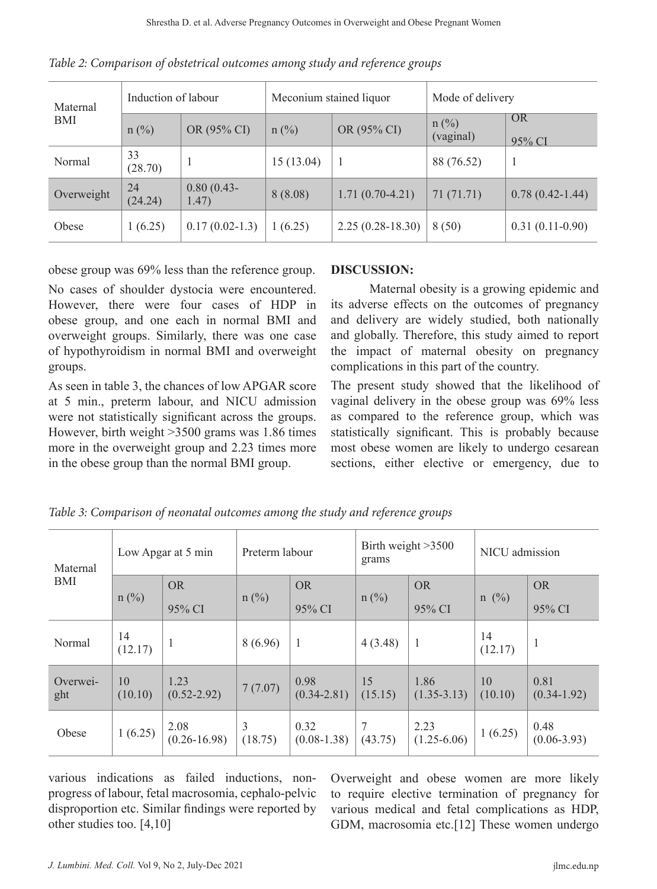| Maternal<br>BMI | Induction of labour |                       | Meconium stained liquor |                    | Mode of delivery     |                     |
|-----------------|---------------------|-----------------------|-------------------------|--------------------|----------------------|---------------------|
|                 | $n$ (%)             | OR (95% CI)           | $n(^{0}/_{0})$          | OR (95% CI)        | $n$ (%)<br>(vaginal) | <b>OR</b><br>95% CI |
| Normal          | 33<br>(28.70)       |                       | 15 (13.04)              |                    | 88 (76.52)           |                     |
| Overweight      | 24<br>(24.24)       | $0.80(0.43-$<br>1.47) | 8(8.08)                 | $1.71(0.70-4.21)$  | 71 (71.71)           | $0.78(0.42 - 1.44)$ |
| Obese           | 1(6.25)             | $0.17(0.02-1.3)$      | 1(6.25)                 | $2.25(0.28-18.30)$ | 8(50)                | $0.31(0.11-0.90)$   |

*Table 2: Comparison of obstetrical outcomes among study and reference groups*

obese group was 69% less than the reference group.

No cases of shoulder dystocia were encountered. However, there were four cases of HDP in obese group, and one each in normal BMI and overweight groups. Similarly, there was one case of hypothyroidism in normal BMI and overweight groups.

As seen in table 3, the chances of low APGAR score at 5 min., preterm labour, and NICU admission were not statistically significant across the groups. However, birth weight >3500 grams was 1.86 times more in the overweight group and 2.23 times more in the obese group than the normal BMI group.

#### **DISCUSSION:**

Maternal obesity is a growing epidemic and its adverse effects on the outcomes of pregnancy and delivery are widely studied, both nationally and globally. Therefore, this study aimed to report the impact of maternal obesity on pregnancy complications in this part of the country.

The present study showed that the likelihood of vaginal delivery in the obese group was 69% less as compared to the reference group, which was statistically significant. This is probably because most obese women are likely to undergo cesarean sections, either elective or emergency, due to

| Maternal<br><b>BMI</b> | Low Apgar at 5 min |                          | Preterm labour            |                         | Birth weight $>3500$<br>grams |                         | NICU admission |                         |
|------------------------|--------------------|--------------------------|---------------------------|-------------------------|-------------------------------|-------------------------|----------------|-------------------------|
|                        | $n$ (%)            | <b>OR</b>                | $n$ (%)                   | <b>OR</b>               | $n(^{0}/_{0})$                | <b>OR</b>               | $n \ (\%)$     | <b>OR</b>               |
|                        |                    | 95% CI                   |                           | 95% CI                  |                               | 95% CI                  |                | 95% CI                  |
| Normal                 | 14<br>(12.17)      | $\mathbf{1}$             | 8(6.96)                   | $\mathbf{1}$            | 4(3.48)                       | 1                       | 14<br>(12.17)  | $\mathbf{1}$            |
| Overwei-<br>ght        | 10<br>(10.10)      | 1.23<br>$(0.52 - 2.92)$  | 7(7.07)                   | 0.98<br>$(0.34 - 2.81)$ | 15<br>(15.15)                 | 1.86<br>$(1.35 - 3.13)$ | 10<br>(10.10)  | 0.81<br>$(0.34 - 1.92)$ |
| Obese                  | 1(6.25)            | 2.08<br>$(0.26 - 16.98)$ | $\overline{3}$<br>(18.75) | 0.32<br>$(0.08-1.38)$   | (43.75)                       | 2.23<br>$(1.25 - 6.06)$ | 1(6.25)        | 0.48<br>$(0.06 - 3.93)$ |

*Table 3: Comparison of neonatal outcomes among the study and reference groups*

various indications as failed inductions, nonprogress of labour, fetal macrosomia, cephalo-pelvic disproportion etc. Similar findings were reported by other studies too. [4,10]

Overweight and obese women are more likely to require elective termination of pregnancy for various medical and fetal complications as HDP, GDM, macrosomia etc.[12] These women undergo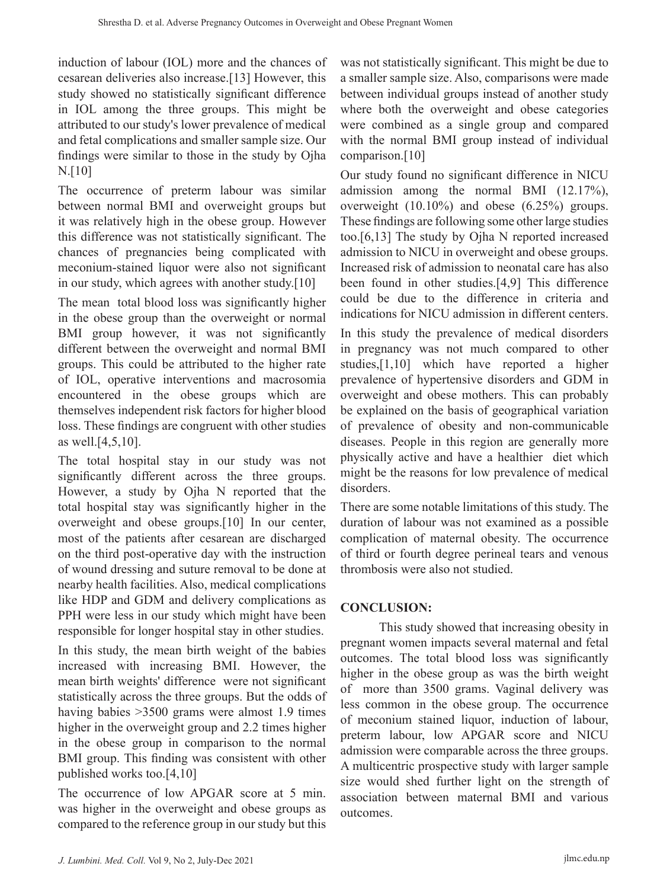induction of labour (IOL) more and the chances of cesarean deliveries also increase.[13] However, this study showed no statistically significant difference in IOL among the three groups. This might be attributed to our study's lower prevalence of medical and fetal complications and smaller sample size. Our findings were similar to those in the study by Ojha N.[10]

The occurrence of preterm labour was similar between normal BMI and overweight groups but it was relatively high in the obese group. However this difference was not statistically significant. The chances of pregnancies being complicated with meconium-stained liquor were also not significant in our study, which agrees with another study.[10]

The mean total blood loss was significantly higher in the obese group than the overweight or normal BMI group however, it was not significantly different between the overweight and normal BMI groups. This could be attributed to the higher rate of IOL, operative interventions and macrosomia encountered in the obese groups which are themselves independent risk factors for higher blood loss. These findings are congruent with other studies as well.[4,5,10].

The total hospital stay in our study was not significantly different across the three groups. However, a study by Ojha N reported that the total hospital stay was significantly higher in the overweight and obese groups.[10] In our center, most of the patients after cesarean are discharged on the third post-operative day with the instruction of wound dressing and suture removal to be done at nearby health facilities. Also, medical complications like HDP and GDM and delivery complications as PPH were less in our study which might have been responsible for longer hospital stay in other studies.

In this study, the mean birth weight of the babies increased with increasing BMI. However, the mean birth weights' difference were not significant statistically across the three groups. But the odds of having babies >3500 grams were almost 1.9 times higher in the overweight group and 2.2 times higher in the obese group in comparison to the normal BMI group. This finding was consistent with other published works too.[4,10]

The occurrence of low APGAR score at 5 min. was higher in the overweight and obese groups as compared to the reference group in our study but this

was not statistically significant. This might be due to a smaller sample size. Also, comparisons were made between individual groups instead of another study where both the overweight and obese categories were combined as a single group and compared with the normal BMI group instead of individual comparison.[10]

Our study found no significant difference in NICU admission among the normal BMI (12.17%), overweight (10.10%) and obese (6.25%) groups. These findings are following some other large studies too.[6,13] The study by Ojha N reported increased admission to NICU in overweight and obese groups. Increased risk of admission to neonatal care has also been found in other studies.[4,9] This difference could be due to the difference in criteria and indications for NICU admission in different centers.

In this study the prevalence of medical disorders in pregnancy was not much compared to other studies,[1,10] which have reported a higher prevalence of hypertensive disorders and GDM in overweight and obese mothers. This can probably be explained on the basis of geographical variation of prevalence of obesity and non-communicable diseases. People in this region are generally more physically active and have a healthier diet which might be the reasons for low prevalence of medical disorders.

There are some notable limitations of this study. The duration of labour was not examined as a possible complication of maternal obesity. The occurrence of third or fourth degree perineal tears and venous thrombosis were also not studied.

# **CONCLUSION:**

This study showed that increasing obesity in pregnant women impacts several maternal and fetal outcomes. The total blood loss was significantly higher in the obese group as was the birth weight of more than 3500 grams. Vaginal delivery was less common in the obese group. The occurrence of meconium stained liquor, induction of labour, preterm labour, low APGAR score and NICU admission were comparable across the three groups. A multicentric prospective study with larger sample size would shed further light on the strength of association between maternal BMI and various outcomes.